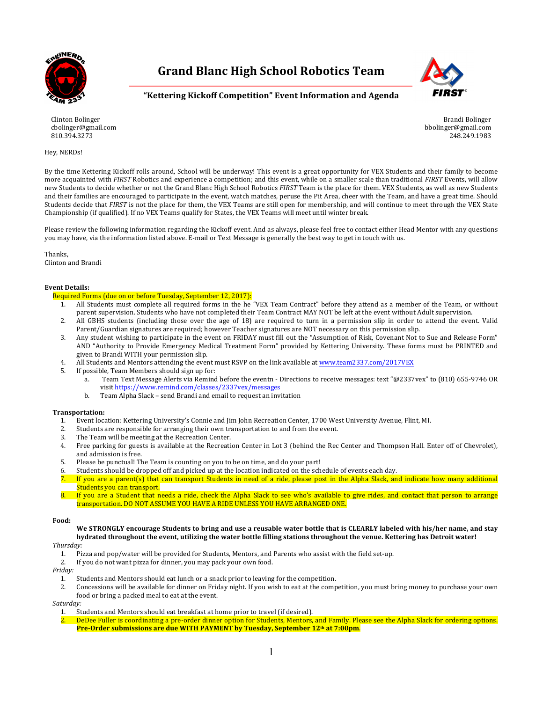

**Grand Blanc High School Robotics Team**



### **"Kettering Kickoff Competition" Event Information and Agenda**

Clinton Bolinger cbolinger@gmail.com 810.394.3273

#### Hey, NERDs!

Brandi Bolinger bbolinger@gmail.com 248.249.1983

By the time Kettering Kickoff rolls around, School will be underway! This event is a great opportunity for VEX Students and their family to become more acquainted with *FIRST* Robotics and experience a competition; and this event, while on a smaller scale than traditional *FIRST* Events, will allow new Students to decide whether or not the Grand Blanc High School Robotics *FIRST* Team is the place for them. VEX Students, as well as new Students and their families are encouraged to participate in the event, watch matches, peruse the Pit Area, cheer with the Team, and have a great time. Should Students decide that *FIRST* is not the place for them, the VEX Teams are still open for membership, and will continue to meet through the VEX State Championship (if qualified). If no VEX Teams qualify for States, the VEX Teams will meet until winter break.

Please review the following information regarding the Kickoff event. And as always, please feel free to contact either Head Mentor with any questions you may have, via the information listed above. E-mail or Text Message is generally the best way to get in touch with us.

Thanks, Clinton and Brandi

#### **Event Details:**

- Required Forms (due on or before Tuesday, September 12, 2017):
	- 1. All Students must complete all required forms in the he "VEX Team Contract" before they attend as a member of the Team, or without parent supervision. Students who have not completed their Team Contract MAY NOT be left at the event without Adult supervision.
	- 2. All GBHS students (including those over the age of 18) are required to turn in a permission slip in order to attend the event. Valid Parent/Guardian signatures are required; however Teacher signatures are NOT necessary on this permission slip.
	- 3. Any student wishing to participate in the event on FRIDAY must fill out the "Assumption of Risk, Covenant Not to Sue and Release Form" AND "Authority to Provide Emergency Medical Treatment Form" provided by Kettering University. These forms must be PRINTED and given to Brandi WITH your permission slip.
	- 4. All Students and Mentors attending the event must RSVP on the link available at www.team2337.com/2017VEX
	- 5. If possible, Team Members should sign up for:
		- a. Team Text Message Alerts via Remind before the eventn Directions to receive messages: text "@2337vex" to (810) 655-9746 OR visit https://www.remind.com/classes/2337vex/messages
		- b. Team Alpha Slack send Brandi and email to request an invitation

#### **Transportation:**

- 1. Event location: Kettering University's Connie and Jim John Recreation Center, 1700 West University Avenue, Flint, MI.
- 2. Students are responsible for arranging their own transportation to and from the event.
- 3. The Team will be meeting at the Recreation Center.
- 4. Free parking for guests is available at the Recreation Center in Lot 3 (behind the Rec Center and Thompson Hall. Enter off of Chevrolet), and admission is free.
- 5. Please be punctual! The Team is counting on you to be on time, and do your part!
- 6. Students should be dropped off and picked up at the location indicated on the schedule of events each day.
- 7. If you are a parent(s) that can transport Students in need of a ride, please post in the Alpha Slack, and indicate how many additional Students you can transport.
- 8. If you are a Student that needs a ride, check the Alpha Slack to see who's available to give rides, and contact that person to arrange transportation. DO NOT ASSUME YOU HAVE A RIDE UNLESS YOU HAVE ARRANGED ONE.

#### **Food:**

We STRONGLY encourage Students to bring and use a reusable water bottle that is CLEARLY labeled with his/her name, and stay hydrated throughout the event, utilizing the water bottle filling stations throughout the venue. Kettering has Detroit water!

#### *Thursday:*

- 1. Pizza and pop/water will be provided for Students, Mentors, and Parents who assist with the field set-up.
- 2. If you do not want pizza for dinner, you may pack your own food.

*Friday:*

- 1. Students and Mentors should eat lunch or a snack prior to leaving for the competition.
- 2. Concessions will be available for dinner on Friday night. If you wish to eat at the competition, you must bring money to purchase your own food or bring a packed meal to eat at the event.

*Saturday:*

- 1. Students and Mentors should eat breakfast at home prior to travel (if desired).
- DeDee Fuller is coordinating a pre-order dinner option for Students, Mentors, and Family. Please see the Alpha Slack for ordering options. **Pre-Order submissions are due WITH PAYMENT by Tuesday, September 12<sup>th</sup> at 7:00pm.**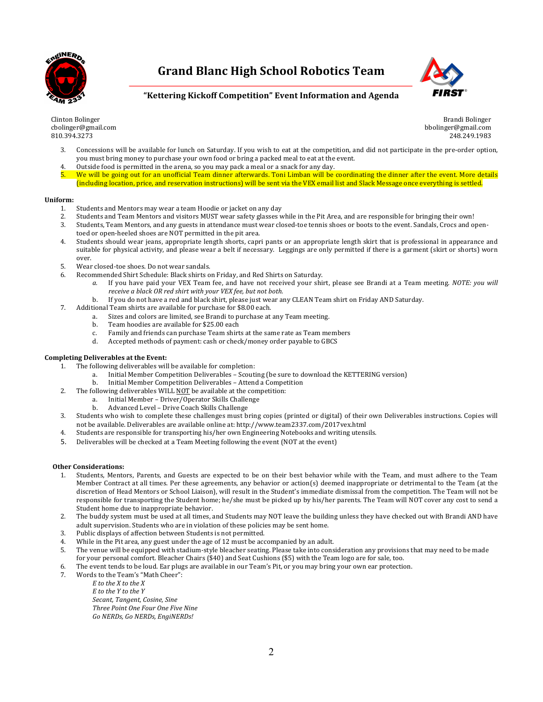

## **Grand Blanc High School Robotics Team**



## **"Kettering Kickoff Competition" Event Information and Agenda**

Clinton Bolinger cbolinger@gmail.com 810.394.3273

Brandi Bolinger bbolinger@gmail.com 248.249.1983

- 3. Concessions will be available for lunch on Saturday. If you wish to eat at the competition, and did not participate in the pre-order option, you must bring money to purchase your own food or bring a packed meal to eat at the event.
- 4. Outside food is permitted in the arena, so you may pack a meal or a snack for any day.
- 5. We will be going out for an unofficial Team dinner afterwards. Toni Limban will be coordinating the dinner after the event. More details (including location, price, and reservation instructions) will be sent via the VEX email list and Slack Message once everything is settled.

#### **Uniform:**

- 1. Students and Mentors may wear a team Hoodie or jacket on any day
- 2. Students and Team Mentors and visitors MUST wear safety glasses while in the Pit Area, and are responsible for bringing their own!
- 3. Students, Team Mentors, and any guests in attendance must wear closed-toe tennis shoes or boots to the event. Sandals, Crocs and opentoed or open-heeled shoes are NOT permitted in the pit area.
- 4. Students should wear jeans, appropriate length shorts, capri pants or an appropriate length skirt that is professional in appearance and suitable for physical activity, and please wear a belt if necessary. Leggings are only permitted if there is a garment (skirt or shorts) worn over.
- 5. Wear closed-toe shoes. Do not wear sandals.
- 6. Recommended Shirt Schedule: Black shirts on Friday, and Red Shirts on Saturday.
	- a. If you have paid your VEX Team fee, and have not received your shirt, please see Brandi at a Team meeting. *NOTE: you will receive a black OR red shirt with your VEX fee, but not both.* 
		- b. If you do not have a red and black shirt, please just wear any CLEAN Team shirt on Friday AND Saturday.
- 7. Additional Team shirts are available for purchase for \$8.00 each.
	- a. Sizes and colors are limited, see Brandi to purchase at any Team meeting.
		- b. Team hoodies are available for \$25.00 each
		- c. Family and friends can purchase Team shirts at the same rate as Team members
		- d. Accepted methods of payment: cash or check/money order payable to GBCS

#### Completing Deliverables at the Event:

- 1. The following deliverables will be available for completion:
	- a. Initial Member Competition Deliverables Scouting (be sure to download the KETTERING version)
	- b. Initial Member Competition Deliverables Attend a Competition
- 2. The following deliverables WILL NOT be available at the competition:
	- a. Initial Member Driver/Operator Skills Challenge
	- b. Advanced Level Drive Coach Skills Challenge
- 3. Students who wish to complete these challenges must bring copies (printed or digital) of their own Deliverables instructions. Copies will not be available. Deliverables are available online at: http://www.team2337.com/2017vex.html
- 4. Students are responsible for transporting his/her own Engineering Notebooks and writing utensils.
- 5. Deliverables will be checked at a Team Meeting following the event (NOT at the event)

#### **Other Considerations:**

- 1. Students, Mentors, Parents, and Guests are expected to be on their best behavior while with the Team, and must adhere to the Team Member Contract at all times. Per these agreements, any behavior or action(s) deemed inappropriate or detrimental to the Team (at the discretion of Head Mentors or School Liaison), will result in the Student's immediate dismissal from the competition. The Team will not be responsible for transporting the Student home; he/she must be picked up by his/her parents. The Team will NOT cover any cost to send a Student home due to inappropriate behavior.
- 2. The buddy system must be used at all times, and Students may NOT leave the building unless they have checked out with Brandi AND have adult supervision. Students who are in violation of these policies may be sent home.
- 3. Public displays of affection between Students is not permitted.
- 4. While in the Pit area, any guest under the age of 12 must be accompanied by an adult.
- 5. The venue will be equipped with stadium-style bleacher seating. Please take into consideration any provisions that may need to be made for your personal comfort. Bleacher Chairs (\$40) and Seat Cushions (\$5) with the Team logo are for sale, too.
- 6. The event tends to be loud. Ear plugs are available in our Team's Pit, or you may bring your own ear protection.
- 7. Words to the Team's "Math Cheer":

*E to the X to the X E to the Y to the Y Secant, Tangent, Cosine, Sine Three Point One Four One Five Nine Go NERDs, Go NERDs, EngiNERDs!*